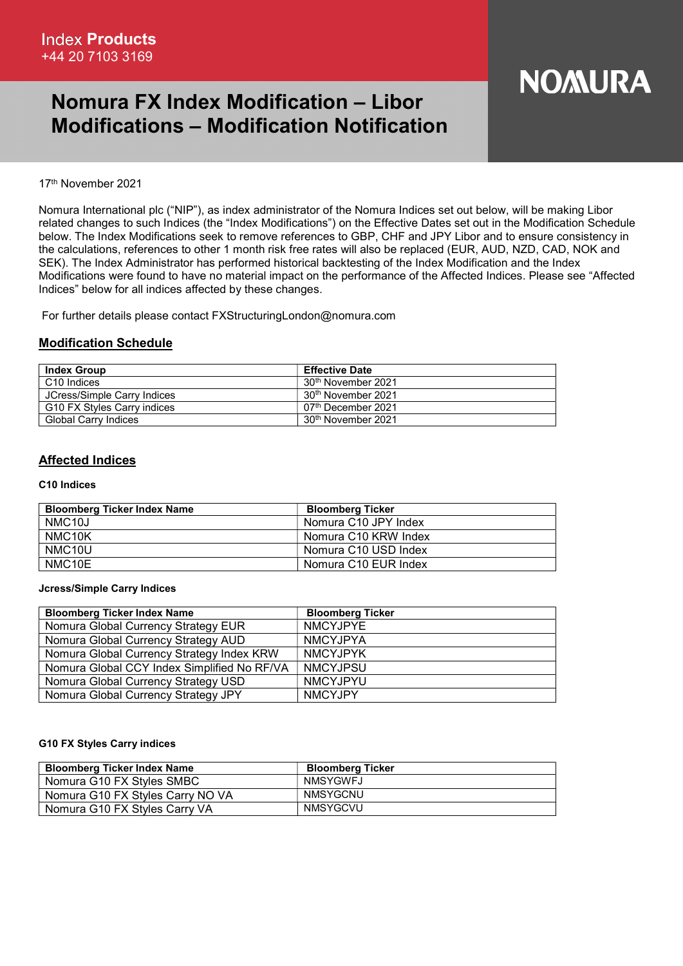# Nomura FX Index Modification – Libor Modifications – Modification Notification

# **NOMURA**

#### 17th November 2021

Nomura International plc ("NIP"), as index administrator of the Nomura Indices set out below, will be making Libor related changes to such Indices (the "Index Modifications") on the Effective Dates set out in the Modification Schedule below. The Index Modifications seek to remove references to GBP, CHF and JPY Libor and to ensure consistency in the calculations, references to other 1 month risk free rates will also be replaced (EUR, AUD, NZD, CAD, NOK and SEK). The Index Administrator has performed historical backtesting of the Index Modification and the Index Modifications were found to have no material impact on the performance of the Affected Indices. Please see "Affected Indices" below for all indices affected by these changes.

For further details please contact FXStructuringLondon@nomura.com

### Modification Schedule

| <b>Index Group</b>          | <b>Effective Date</b>           |
|-----------------------------|---------------------------------|
| C <sub>10</sub> Indices     | 30 <sup>th</sup> November 2021  |
| JCress/Simple Carry Indices | 30 <sup>th</sup> November 2021  |
| G10 FX Styles Carry indices | 07 <sup>th</sup> December 2021  |
| <b>Global Carry Indices</b> | .30 <sup>th</sup> November 2021 |

## Affected Indices

#### C10 Indices

| <b>Bloomberg Ticker Index Name</b> | <b>Bloomberg Ticker</b> |
|------------------------------------|-------------------------|
| NMC <sub>10</sub> J                | Nomura C10 JPY Index    |
| NMC <sub>10</sub> K                | Nomura C10 KRW Index    |
| NMC <sub>10</sub> U                | Nomura C10 USD Index    |
| NMC10E                             | Nomura C10 EUR Index    |

#### Jcress/Simple Carry Indices

| <b>Bloomberg Ticker Index Name</b>          | <b>Bloomberg Ticker</b> |
|---------------------------------------------|-------------------------|
| Nomura Global Currency Strategy EUR         | <b>NMCYJPYE</b>         |
| Nomura Global Currency Strategy AUD         | <b>NMCYJPYA</b>         |
| Nomura Global Currency Strategy Index KRW   | <b>NMCYJPYK</b>         |
| Nomura Global CCY Index Simplified No RF/VA | <b>NMCYJPSU</b>         |
| Nomura Global Currency Strategy USD         | <b>NMCYJPYU</b>         |
| Nomura Global Currency Strategy JPY         | <b>NMCYJPY</b>          |

#### G10 FX Styles Carry indices

| <b>Bloomberg Ticker Index Name</b> | <b>Bloomberg Ticker</b> |
|------------------------------------|-------------------------|
| Nomura G10 FX Styles SMBC          | NMSYGWFJ                |
| Nomura G10 FX Styles Carry NO VA   | NMSYGCNU                |
| Nomura G10 FX Styles Carry VA      | NMSYGCVU                |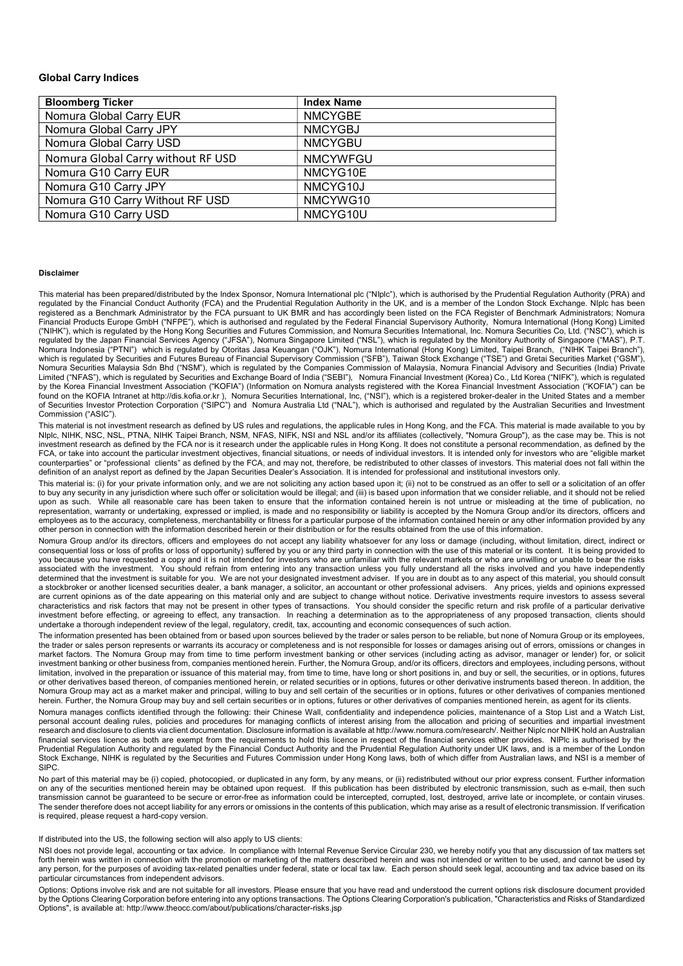#### Global Carry Indices

| <b>Bloomberg Ticker</b>            | <b>Index Name</b> |
|------------------------------------|-------------------|
| Nomura Global Carry EUR            | <b>NMCYGBE</b>    |
| Nomura Global Carry JPY            | <b>NMCYGBJ</b>    |
| Nomura Global Carry USD            | <b>NMCYGBU</b>    |
| Nomura Global Carry without RF USD | <b>NMCYWFGU</b>   |
| Nomura G10 Carry EUR               | NMCYG10E          |
| Nomura G10 Carry JPY               | NMCYG10J          |
| Nomura G10 Carry Without RF USD    | NMCYWG10          |
| Nomura G10 Carry USD               | NMCYG10U          |

#### Disclaimer

This material has been prepared/distributed by the Index Sponsor, Nomura International plc ("NIplc"), which is authorised by the Prudential Regulation Authority (PRA) and regulated by the Financial Conduct Authority (FCA) and the Prudential Regulation Authority in the UK, and is a member of the London Stock Exchange. NIplc has been registered as a Benchmark Administrator by the FCA pursuant to UK BMR and has accordingly been listed on the FCA Register of Benchmark Administrators; Nomura Financial Products Europe GmbH ("NFPE"), which is authorised and regulated by the Federal Financial Supervisory Authority, Nomura International (Hong Kong) Limited ("NIHK"), which is regulated by the Hong Kong Securities and Futures Commission, and Nomura Securities International, Inc. Nomura Securities Co, Ltd. ("NSC"), which is regulated by the Japan Financial Services Agency ("JFSA"), Nomura Singapore Limited ("NSL"), which is regulated by the Monitory Authority of Singapore ("MAS"), P.T. Nomura Indonesia ("PTNI") which is regulated by Otoritas Jasa Keuangan ("OJK"), Nomura International (Hong Kong) Limited, Taipei Branch, ("NIHK Taipei Branch"), which is regulated by Securities and Futures Bureau of Financial Supervisory Commission ("SFB"), Taiwan Stock Exchange ("TSE") and Gretai Securities Market ("GSM"), Nomura Securities Malaysia Sdn Bhd ("NSM"), which is regulated by the Companies Commission of Malaysia, Nomura Financial Advisory and Securities (India) Private Limited ("NFAS"), which is regulated by Securities and Exchange Board of India ("SEBI"), Nomura Financial Investment (Korea) Co., Ltd Korea ("NIFK"), which is regulated by the Korea Financial Investment Association ("KOFIA") (Information on Nomura analysts registered with the Korea Financial Investment Association ("KOFIA") can be found on the KOFIA Intranet at http://dis.kofia.or.kr ), Nomura Securities International, Inc, ("NSI"), which is a registered broker-dealer in the United States and a member of Securities Investor Protection Corporation ("SIPC") and Nomura Australia Ltd ("NAL"), which is authorised and regulated by the Australian Securities and Investment Commission ("ASIC").

This material is not investment research as defined by US rules and regulations, the applicable rules in Hong Kong, and the FCA. This material is made available to you by NIplc, NIHK, NSC, NSL, PTNA, NIHK Taipei Branch, NSM, NFAS, NIFK, NSI and NSL and/or its affiliates (collectively, "Nomura Group"), as the case may be. This is not investment research as defined by the FCA nor is it research under the applicable rules in Hong Kong. It does not constitute a personal recommendation, as defined by the FCA, or take into account the particular investment objectives, financial situations, or needs of individual investors. It is intended only for investors who are "eligible market counterparties" or "professional clients" as defined by the FCA, and may not, therefore, be redistributed to other classes of investors. This material does not fall within the definition of an analyst report as defined by the Japan Securities Dealer's Association. It is intended for professional and institutional investors only.

This material is: (i) for your private information only, and we are not soliciting any action based upon it; (ii) not to be construed as an offer to sell or a solicitation of an offer to buy any security in any jurisdiction where such offer or solicitation would be illegal; and (iii) is based upon information that we consider reliable, and it should not be relied upon as such. While all reasonable care has been taken to ensure that the information contained herein is not untrue or misleading at the time of publication, no representation, warranty or undertaking, expressed or implied, is made and no responsibility or liability is accepted by the Nomura Group and/or its directors, officers and employees as to the accuracy, completeness, merchantability or fitness for a particular purpose of the information contained herein or any other information provided by any other person in connection with the information described herein or their distribution or for the results obtained from the use of this information.

Nomura Group and/or its directors, officers and employees do not accept any liability whatsoever for any loss or damage (including, without limitation, direct, indirect or consequential loss or loss of profits or loss of opportunity) suffered by you or any third party in connection with the use of this material or its content. It is being provided to you because you have requested a copy and it is not intended for investors who are unfamiliar with the relevant markets or who are unwilling or unable to bear the risks associated with the investment. You should refrain from entering into any transaction unless you fully understand all the risks involved and you have independently determined that the investment is suitable for you. We are not your designated investment adviser. If you are in doubt as to any aspect of this material, you should consult a stockbroker or another licensed securities dealer, a bank manager, a solicitor, an accountant or other professional advisers. Any prices, yields and opinions expressed are current opinions as of the date appearing on this material only and are subject to change without notice. Derivative investments require investors to assess several characteristics and risk factors that may not be present in other types of transactions. You should consider the specific return and risk profile of a particular derivative investment before effecting, or agreeing to effect, any transaction. In reaching a determination as to the appropriateness of any proposed transaction, clients should undertake a thorough independent review of the legal, regulatory, credit, tax, accounting and economic consequences of such action.

The information presented has been obtained from or based upon sources believed by the trader or sales person to be reliable, but none of Nomura Group or its employees, the trader or sales person represents or warrants its accuracy or completeness and is not responsible for losses or damages arising out of errors, omissions or changes in market factors. The Nomura Group may from time to time perform investment banking or other services (including acting as advisor, manager or lender) for, or solicit investment banking or other business from, companies mentioned herein. Further, the Nomura Group, and/or its officers, directors and employees, including persons, without limitation, involved in the preparation or issuance of this material may, from time to time, have long or short positions in, and buy or sell, the securities, or in options, futures or other derivatives based thereon, of companies mentioned herein, or related securities or in options, futures or other derivative instruments based thereon. In addition, the Nomura Group may act as a market maker and principal, willing to buy and sell certain of the securities or in options, futures or other derivatives of companies mentioned herein. Further, the Nomura Group may buy and sell certain securities or in options, futures or other derivatives of companies mentioned herein, as agent for its clients.

Nomura manages conflicts identified through the following: their Chinese Wall, confidentiality and independence policies, maintenance of a Stop List and a Watch List, personal account dealing rules, policies and procedures for managing conflicts of interest arising from the allocation and pricing of securities and impartial investment research and disclosure to clients via client documentation. Disclosure information is available at http://www.nomura.com/research/. Neither Niplc nor NIHK hold an Australian financial services licence as both are exempt from the requirements to hold this licence in respect of the financial services either provides. NIPIc is authorised by the Prudential Regulation Authority and regulated by the Financial Conduct Authority and the Prudential Regulation Authority under UK laws, and is a member of the London Stock Exchange, NIHK is regulated by the Securities and Futures Commission under Hong Kong laws, both of which differ from Australian laws, and NSI is a member of SIPC.

No part of this material may be (i) copied, photocopied, or duplicated in any form, by any means, or (ii) redistributed without our prior express consent. Further information on any of the securities mentioned herein may be obtained upon request. If this publication has been distributed by electronic transmission, such as e-mail, then such transmission cannot be guaranteed to be secure or error-free as information could be intercepted, corrupted, lost, destroyed, arrive late or incomplete, or contain viruses. The sender therefore does not accept liability for any errors or omissions in the contents of this publication, which may arise as a result of electronic transmission. If verification is required, please request a hard-copy version.

#### If distributed into the US, the following section will also apply to US clients:

NSI does not provide legal, accounting or tax advice. In compliance with Internal Revenue Service Circular 230, we hereby notify you that any discussion of tax matters set forth herein was written in connection with the promotion or marketing of the matters described herein and was not intended or written to be used, and cannot be used by any person, for the purposes of avoiding tax-related penalties under federal, state or local tax law. Each person should seek legal, accounting and tax advice based on its particular circumstances from independent advisors.

Options: Options involve risk and are not suitable for all investors. Please ensure that you have read and understood the current options risk disclosure document provided by the Options Clearing Corporation before entering into any options transactions. The Options Clearing Corporation's publication, "Characteristics and Risks of Standardized Options", is available at: http://www.theocc.com/about/publications/character-risks.jsp